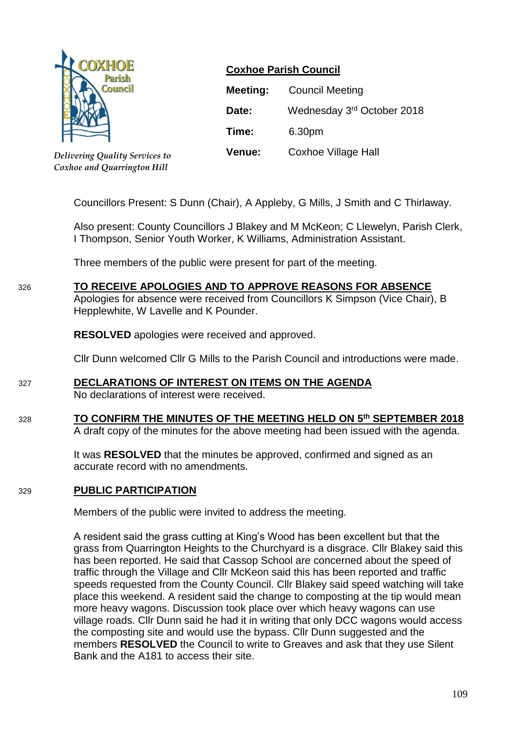

*Delivering Quality Services to Coxhoe and Quarrington Hill*

# **Coxhoe Parish Council**

| Meeting:      | <b>Council Meeting</b>     |
|---------------|----------------------------|
| Date:         | Wednesday 3rd October 2018 |
| Time:         | 6.30pm                     |
| <b>Venue:</b> | Coxhoe Village Hall        |

Councillors Present: S Dunn (Chair), A Appleby, G Mills, J Smith and C Thirlaway.

Also present: County Councillors J Blakey and M McKeon; C Llewelyn, Parish Clerk, I Thompson, Senior Youth Worker, K Williams, Administration Assistant.

Three members of the public were present for part of the meeting.

# 326 **TO RECEIVE APOLOGIES AND TO APPROVE REASONS FOR ABSENCE**

Apologies for absence were received from Councillors K Simpson (Vice Chair), B Hepplewhite, W Lavelle and K Pounder.

**RESOLVED** apologies were received and approved.

Cllr Dunn welcomed Cllr G Mills to the Parish Council and introductions were made.

### 327 **DECLARATIONS OF INTEREST ON ITEMS ON THE AGENDA**

No declarations of interest were received.

#### 328 **TO CONFIRM THE MINUTES OF THE MEETING HELD ON 5 th SEPTEMBER 2018** A draft copy of the minutes for the above meeting had been issued with the agenda.

It was **RESOLVED** that the minutes be approved, confirmed and signed as an accurate record with no amendments.

### 329 **PUBLIC PARTICIPATION**

Members of the public were invited to address the meeting.

A resident said the grass cutting at King's Wood has been excellent but that the grass from Quarrington Heights to the Churchyard is a disgrace. Cllr Blakey said this has been reported. He said that Cassop School are concerned about the speed of traffic through the Village and Cllr McKeon said this has been reported and traffic speeds requested from the County Council. Cllr Blakey said speed watching will take place this weekend. A resident said the change to composting at the tip would mean more heavy wagons. Discussion took place over which heavy wagons can use village roads. Cllr Dunn said he had it in writing that only DCC wagons would access the composting site and would use the bypass. Cllr Dunn suggested and the members **RESOLVED** the Council to write to Greaves and ask that they use Silent Bank and the A181 to access their site.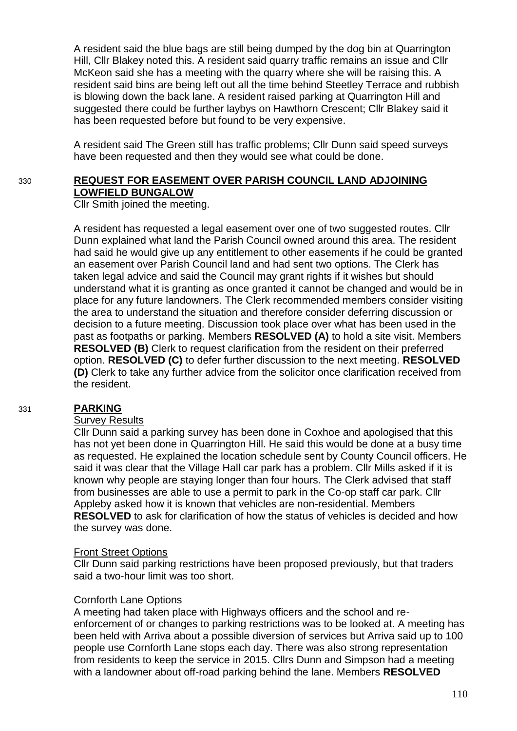A resident said the blue bags are still being dumped by the dog bin at Quarrington Hill, Cllr Blakey noted this. A resident said quarry traffic remains an issue and Cllr McKeon said she has a meeting with the quarry where she will be raising this. A resident said bins are being left out all the time behind Steetley Terrace and rubbish is blowing down the back lane. A resident raised parking at Quarrington Hill and suggested there could be further laybys on Hawthorn Crescent; Cllr Blakey said it has been requested before but found to be very expensive.

A resident said The Green still has traffic problems; Cllr Dunn said speed surveys have been requested and then they would see what could be done.

# 330 **REQUEST FOR EASEMENT OVER PARISH COUNCIL LAND ADJOINING LOWFIELD BUNGALOW**

Cllr Smith joined the meeting.

A resident has requested a legal easement over one of two suggested routes. Cllr Dunn explained what land the Parish Council owned around this area. The resident had said he would give up any entitlement to other easements if he could be granted an easement over Parish Council land and had sent two options. The Clerk has taken legal advice and said the Council may grant rights if it wishes but should understand what it is granting as once granted it cannot be changed and would be in place for any future landowners. The Clerk recommended members consider visiting the area to understand the situation and therefore consider deferring discussion or decision to a future meeting. Discussion took place over what has been used in the past as footpaths or parking. Members **RESOLVED (A)** to hold a site visit. Members **RESOLVED (B)** Clerk to request clarification from the resident on their preferred option. **RESOLVED (C)** to defer further discussion to the next meeting. **RESOLVED (D)** Clerk to take any further advice from the solicitor once clarification received from the resident.

#### 331 **PARKING**

#### Survey Results

Cllr Dunn said a parking survey has been done in Coxhoe and apologised that this has not yet been done in Quarrington Hill. He said this would be done at a busy time as requested. He explained the location schedule sent by County Council officers. He said it was clear that the Village Hall car park has a problem. Cllr Mills asked if it is known why people are staying longer than four hours. The Clerk advised that staff from businesses are able to use a permit to park in the Co-op staff car park. Cllr Appleby asked how it is known that vehicles are non-residential. Members **RESOLVED** to ask for clarification of how the status of vehicles is decided and how the survey was done.

#### Front Street Options

Cllr Dunn said parking restrictions have been proposed previously, but that traders said a two-hour limit was too short.

#### Cornforth Lane Options

A meeting had taken place with Highways officers and the school and reenforcement of or changes to parking restrictions was to be looked at. A meeting has been held with Arriva about a possible diversion of services but Arriva said up to 100 people use Cornforth Lane stops each day. There was also strong representation from residents to keep the service in 2015. Cllrs Dunn and Simpson had a meeting with a landowner about off-road parking behind the lane. Members **RESOLVED**

110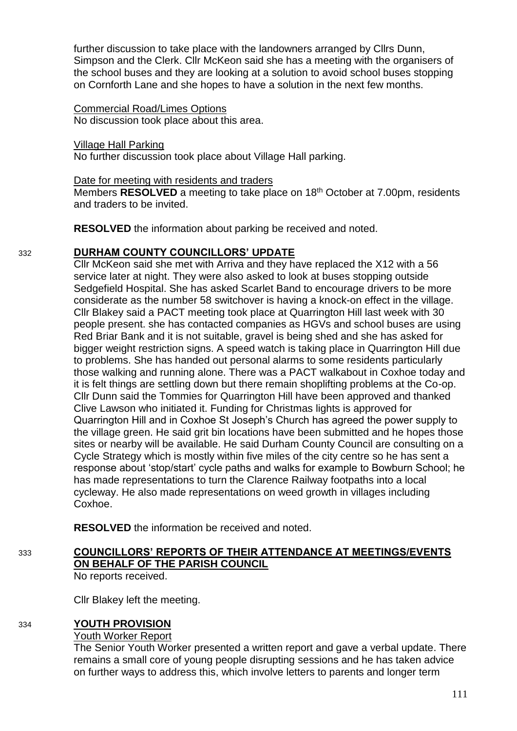further discussion to take place with the landowners arranged by Cllrs Dunn, Simpson and the Clerk. Cllr McKeon said she has a meeting with the organisers of the school buses and they are looking at a solution to avoid school buses stopping on Cornforth Lane and she hopes to have a solution in the next few months.

#### Commercial Road/Limes Options No discussion took place about this area.

Village Hall Parking No further discussion took place about Village Hall parking.

### Date for meeting with residents and traders

Members **RESOLVED** a meeting to take place on 18th October at 7.00pm, residents and traders to be invited.

**RESOLVED** the information about parking be received and noted.

# 332 **DURHAM COUNTY COUNCILLORS' UPDATE**

Cllr McKeon said she met with Arriva and they have replaced the X12 with a 56 service later at night. They were also asked to look at buses stopping outside Sedgefield Hospital. She has asked Scarlet Band to encourage drivers to be more considerate as the number 58 switchover is having a knock-on effect in the village. Cllr Blakey said a PACT meeting took place at Quarrington Hill last week with 30 people present. she has contacted companies as HGVs and school buses are using Red Briar Bank and it is not suitable, gravel is being shed and she has asked for bigger weight restriction signs. A speed watch is taking place in Quarrington Hill due to problems. She has handed out personal alarms to some residents particularly those walking and running alone. There was a PACT walkabout in Coxhoe today and it is felt things are settling down but there remain shoplifting problems at the Co-op. Cllr Dunn said the Tommies for Quarrington Hill have been approved and thanked Clive Lawson who initiated it. Funding for Christmas lights is approved for Quarrington Hill and in Coxhoe St Joseph's Church has agreed the power supply to the village green. He said grit bin locations have been submitted and he hopes those sites or nearby will be available. He said Durham County Council are consulting on a Cycle Strategy which is mostly within five miles of the city centre so he has sent a response about 'stop/start' cycle paths and walks for example to Bowburn School; he has made representations to turn the Clarence Railway footpaths into a local cycleway. He also made representations on weed growth in villages including Coxhoe.

**RESOLVED** the information be received and noted.

# 333 **COUNCILLORS' REPORTS OF THEIR ATTENDANCE AT MEETINGS/EVENTS ON BEHALF OF THE PARISH COUNCIL**

No reports received.

Cllr Blakey left the meeting.

# 334 **YOUTH PROVISION**

### Youth Worker Report

The Senior Youth Worker presented a written report and gave a verbal update. There remains a small core of young people disrupting sessions and he has taken advice on further ways to address this, which involve letters to parents and longer term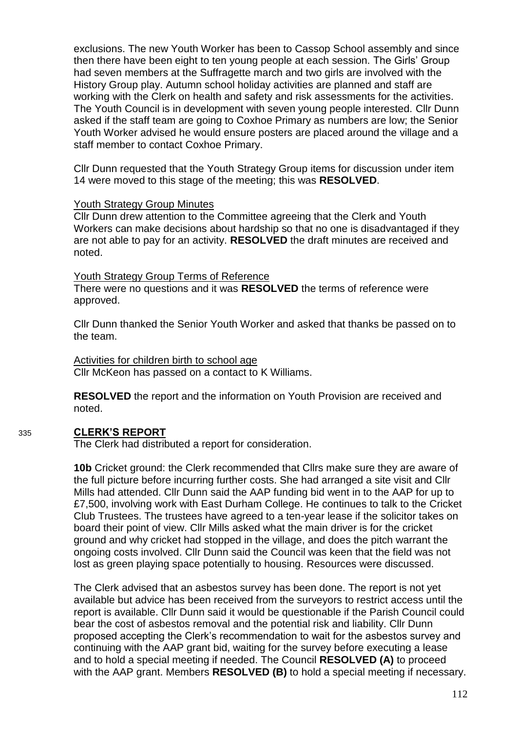exclusions. The new Youth Worker has been to Cassop School assembly and since then there have been eight to ten young people at each session. The Girls' Group had seven members at the Suffragette march and two girls are involved with the History Group play. Autumn school holiday activities are planned and staff are working with the Clerk on health and safety and risk assessments for the activities. The Youth Council is in development with seven young people interested. Cllr Dunn asked if the staff team are going to Coxhoe Primary as numbers are low; the Senior Youth Worker advised he would ensure posters are placed around the village and a staff member to contact Coxhoe Primary.

Cllr Dunn requested that the Youth Strategy Group items for discussion under item 14 were moved to this stage of the meeting; this was **RESOLVED**.

#### Youth Strategy Group Minutes

Cllr Dunn drew attention to the Committee agreeing that the Clerk and Youth Workers can make decisions about hardship so that no one is disadvantaged if they are not able to pay for an activity. **RESOLVED** the draft minutes are received and noted.

Youth Strategy Group Terms of Reference There were no questions and it was **RESOLVED** the terms of reference were approved.

Cllr Dunn thanked the Senior Youth Worker and asked that thanks be passed on to the team.

Activities for children birth to school age Cllr McKeon has passed on a contact to K Williams.

**RESOLVED** the report and the information on Youth Provision are received and noted.

# 335 **CLERK'S REPORT**

The Clerk had distributed a report for consideration.

**10b** Cricket ground: the Clerk recommended that Cllrs make sure they are aware of the full picture before incurring further costs. She had arranged a site visit and Cllr Mills had attended. Cllr Dunn said the AAP funding bid went in to the AAP for up to £7,500, involving work with East Durham College. He continues to talk to the Cricket Club Trustees. The trustees have agreed to a ten-year lease if the solicitor takes on board their point of view. Cllr Mills asked what the main driver is for the cricket ground and why cricket had stopped in the village, and does the pitch warrant the ongoing costs involved. Cllr Dunn said the Council was keen that the field was not lost as green playing space potentially to housing. Resources were discussed.

The Clerk advised that an asbestos survey has been done. The report is not yet available but advice has been received from the surveyors to restrict access until the report is available. Cllr Dunn said it would be questionable if the Parish Council could bear the cost of asbestos removal and the potential risk and liability. Cllr Dunn proposed accepting the Clerk's recommendation to wait for the asbestos survey and continuing with the AAP grant bid, waiting for the survey before executing a lease and to hold a special meeting if needed. The Council **RESOLVED (A)** to proceed with the AAP grant. Members **RESOLVED (B)** to hold a special meeting if necessary.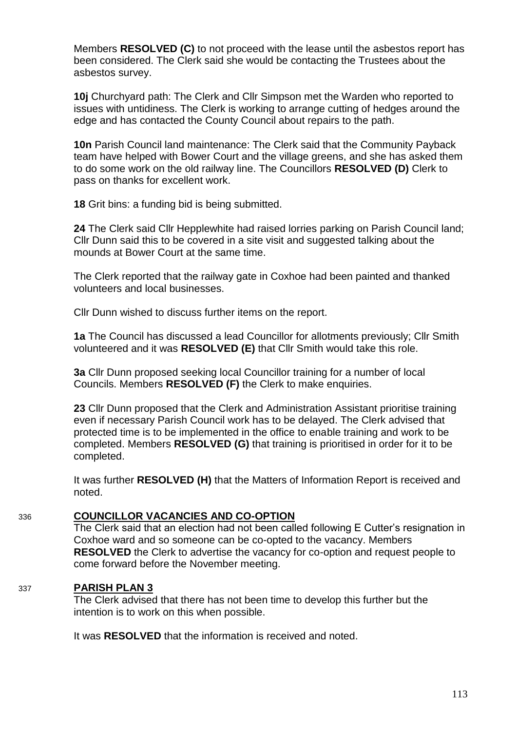Members **RESOLVED (C)** to not proceed with the lease until the asbestos report has been considered. The Clerk said she would be contacting the Trustees about the asbestos survey.

**10j** Churchyard path: The Clerk and Cllr Simpson met the Warden who reported to issues with untidiness. The Clerk is working to arrange cutting of hedges around the edge and has contacted the County Council about repairs to the path.

**10n** Parish Council land maintenance: The Clerk said that the Community Payback team have helped with Bower Court and the village greens, and she has asked them to do some work on the old railway line. The Councillors **RESOLVED (D)** Clerk to pass on thanks for excellent work.

**18** Grit bins: a funding bid is being submitted.

**24** The Clerk said Cllr Hepplewhite had raised lorries parking on Parish Council land; Cllr Dunn said this to be covered in a site visit and suggested talking about the mounds at Bower Court at the same time.

The Clerk reported that the railway gate in Coxhoe had been painted and thanked volunteers and local businesses.

Cllr Dunn wished to discuss further items on the report.

**1a** The Council has discussed a lead Councillor for allotments previously; Cllr Smith volunteered and it was **RESOLVED (E)** that Cllr Smith would take this role.

**3a** Cllr Dunn proposed seeking local Councillor training for a number of local Councils. Members **RESOLVED (F)** the Clerk to make enquiries.

**23** Cllr Dunn proposed that the Clerk and Administration Assistant prioritise training even if necessary Parish Council work has to be delayed. The Clerk advised that protected time is to be implemented in the office to enable training and work to be completed. Members **RESOLVED (G)** that training is prioritised in order for it to be completed.

It was further **RESOLVED (H)** that the Matters of Information Report is received and noted.

### 336 **COUNCILLOR VACANCIES AND CO-OPTION**

The Clerk said that an election had not been called following E Cutter's resignation in Coxhoe ward and so someone can be co-opted to the vacancy. Members **RESOLVED** the Clerk to advertise the vacancy for co-option and request people to come forward before the November meeting.

### 337 **PARISH PLAN 3**

The Clerk advised that there has not been time to develop this further but the intention is to work on this when possible.

It was **RESOLVED** that the information is received and noted.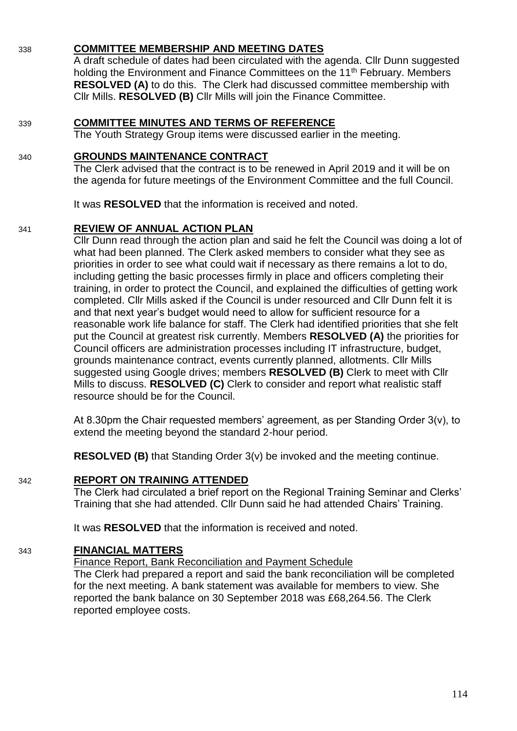# 338 **COMMITTEE MEMBERSHIP AND MEETING DATES**

A draft schedule of dates had been circulated with the agenda. Cllr Dunn suggested holding the Environment and Finance Committees on the 11<sup>th</sup> February. Members **RESOLVED (A)** to do this. The Clerk had discussed committee membership with Cllr Mills. **RESOLVED (B)** Cllr Mills will join the Finance Committee.

### 339 **COMMITTEE MINUTES AND TERMS OF REFERENCE**

The Youth Strategy Group items were discussed earlier in the meeting.

### 340 **GROUNDS MAINTENANCE CONTRACT**

The Clerk advised that the contract is to be renewed in April 2019 and it will be on the agenda for future meetings of the Environment Committee and the full Council.

It was **RESOLVED** that the information is received and noted.

### 341 **REVIEW OF ANNUAL ACTION PLAN**

Cllr Dunn read through the action plan and said he felt the Council was doing a lot of what had been planned. The Clerk asked members to consider what they see as priorities in order to see what could wait if necessary as there remains a lot to do, including getting the basic processes firmly in place and officers completing their training, in order to protect the Council, and explained the difficulties of getting work completed. Cllr Mills asked if the Council is under resourced and Cllr Dunn felt it is and that next year's budget would need to allow for sufficient resource for a reasonable work life balance for staff. The Clerk had identified priorities that she felt put the Council at greatest risk currently. Members **RESOLVED (A)** the priorities for Council officers are administration processes including IT infrastructure, budget, grounds maintenance contract, events currently planned, allotments. Cllr Mills suggested using Google drives; members **RESOLVED (B)** Clerk to meet with Cllr Mills to discuss. **RESOLVED (C)** Clerk to consider and report what realistic staff resource should be for the Council.

At 8.30pm the Chair requested members' agreement, as per Standing Order 3(v), to extend the meeting beyond the standard 2-hour period.

**RESOLVED (B)** that Standing Order 3(v) be invoked and the meeting continue.

# 342 **REPORT ON TRAINING ATTENDED**

The Clerk had circulated a brief report on the Regional Training Seminar and Clerks' Training that she had attended. Cllr Dunn said he had attended Chairs' Training.

It was **RESOLVED** that the information is received and noted.

# 343 **FINANCIAL MATTERS**

Finance Report, Bank Reconciliation and Payment Schedule

The Clerk had prepared a report and said the bank reconciliation will be completed for the next meeting. A bank statement was available for members to view. She reported the bank balance on 30 September 2018 was £68,264.56. The Clerk reported employee costs.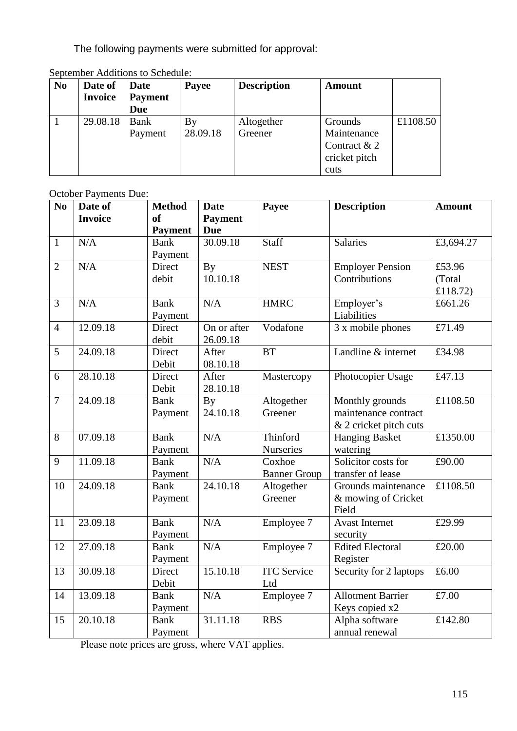The following payments were submitted for approval:

| N <sub>0</sub> | Date of        | <b>Date</b>    | Payee    | <b>Description</b> | Amount         |          |
|----------------|----------------|----------------|----------|--------------------|----------------|----------|
|                | <b>Invoice</b> | <b>Payment</b> |          |                    |                |          |
|                |                | Due            |          |                    |                |          |
|                | 29.08.18       | <b>Bank</b>    | Вy       | Altogether         | Grounds        | £1108.50 |
|                |                | Payment        | 28.09.18 | Greener            | Maintenance    |          |
|                |                |                |          |                    | Contract $& 2$ |          |
|                |                |                |          |                    | cricket pitch  |          |
|                |                |                |          |                    | cuts           |          |

September Additions to Schedule:

October Payments Due:

| N <sub>0</sub> | Date of        | <b>Method</b>  | <b>Date</b>    | Payee               | <b>Description</b>       | <b>Amount</b>                   |
|----------------|----------------|----------------|----------------|---------------------|--------------------------|---------------------------------|
|                | <b>Invoice</b> | <sub>of</sub>  | <b>Payment</b> |                     |                          |                                 |
|                |                | <b>Payment</b> | <b>Due</b>     |                     |                          |                                 |
| $\mathbf{1}$   | N/A            | <b>Bank</b>    | 30.09.18       | <b>Staff</b>        | Salaries                 | £3,694.27                       |
|                |                | Payment        |                |                     |                          |                                 |
| $\overline{2}$ | N/A            | Direct         | <b>By</b>      | <b>NEST</b>         | <b>Employer Pension</b>  | £53.96                          |
|                |                | debit          | 10.10.18       |                     | Contributions            | (Total<br>£118.72)              |
| 3              | N/A            | <b>Bank</b>    | N/A            | <b>HMRC</b>         | Employer's               | £661.26                         |
|                |                | Payment        |                |                     | Liabilities              |                                 |
| $\overline{4}$ | 12.09.18       | Direct         | On or after    | Vodafone            | 3 x mobile phones        | £71.49                          |
|                |                | debit          | 26.09.18       |                     |                          |                                 |
| 5              | 24.09.18       | Direct         | After          | <b>BT</b>           | Landline & internet      | £34.98                          |
|                |                | Debit          | 08.10.18       |                     |                          |                                 |
| 6              | 28.10.18       | Direct         | After          | Mastercopy          | Photocopier Usage        | £47.13                          |
|                |                | Debit          | 28.10.18       |                     |                          |                                 |
| $\overline{7}$ | 24.09.18       | <b>Bank</b>    | <b>By</b>      | Altogether          | Monthly grounds          | £1108.50                        |
|                |                | Payment        | 24.10.18       | Greener             | maintenance contract     |                                 |
|                |                |                |                |                     | & 2 cricket pitch cuts   |                                 |
| 8              | 07.09.18       | <b>Bank</b>    | N/A            | Thinford            | <b>Hanging Basket</b>    | £1350.00                        |
|                |                | Payment        |                | Nurseries           | watering                 |                                 |
| 9              | 11.09.18       | <b>Bank</b>    | N/A            | Coxhoe              | Solicitor costs for      | £90.00                          |
|                |                | Payment        |                | <b>Banner Group</b> | transfer of lease        |                                 |
| 10             | 24.09.18       | <b>Bank</b>    | 24.10.18       | Altogether          | Grounds maintenance      | £1108.50                        |
|                |                | Payment        |                | Greener             | & mowing of Cricket      |                                 |
|                |                |                |                |                     | Field                    |                                 |
| 11             | 23.09.18       | <b>Bank</b>    | N/A            | Employee 7          | <b>Avast Internet</b>    | £29.99                          |
|                |                | Payment        |                |                     | security                 |                                 |
| 12             | 27.09.18       | <b>Bank</b>    | N/A            | Employee 7          | <b>Edited Electoral</b>  | £20.00                          |
|                |                | Payment        |                |                     | Register                 |                                 |
| 13             | 30.09.18       | Direct         | 15.10.18       | <b>ITC</b> Service  | Security for 2 laptops   | $\overline{\text{\pounds}6.00}$ |
|                |                | Debit          |                | Ltd                 |                          |                                 |
| 14             | 13.09.18       | <b>Bank</b>    | N/A            | Employee 7          | <b>Allotment Barrier</b> | £7.00                           |
|                |                | Payment        |                |                     | Keys copied x2           |                                 |
| 15             | 20.10.18       | <b>Bank</b>    | 31.11.18       | <b>RBS</b>          | Alpha software           | £142.80                         |
|                |                | Payment        |                |                     | annual renewal           |                                 |

Please note prices are gross, where VAT applies.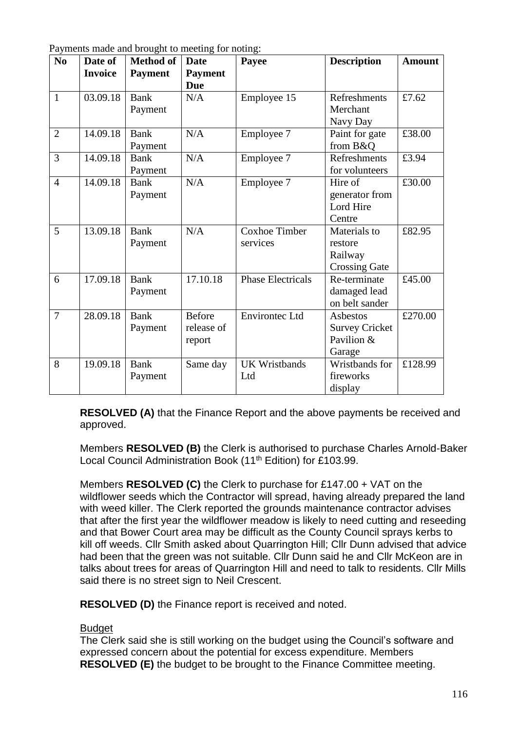| N <sub>0</sub> | Date of        | <b>Method of</b>       | Date                                  | O<br>Payee                       | <b>Description</b>                                         | <b>Amount</b> |
|----------------|----------------|------------------------|---------------------------------------|----------------------------------|------------------------------------------------------------|---------------|
|                | <b>Invoice</b> | <b>Payment</b>         | <b>Payment</b><br><b>Due</b>          |                                  |                                                            |               |
| $\mathbf{1}$   | 03.09.18       | <b>Bank</b><br>Payment | N/A                                   | Employee 15                      | Refreshments<br>Merchant<br>Navy Day                       | £7.62         |
| $\overline{2}$ | 14.09.18       | <b>Bank</b><br>Payment | N/A                                   | Employee 7                       | Paint for gate<br>from B&O                                 | £38.00        |
| 3              | 14.09.18       | Bank<br>Payment        | N/A                                   | Employee 7                       | Refreshments<br>for volunteers                             | £3.94         |
| $\overline{4}$ | 14.09.18       | <b>Bank</b><br>Payment | N/A                                   | Employee 7                       | Hire of<br>generator from<br>Lord Hire<br>Centre           | £30.00        |
| 5              | 13.09.18       | <b>Bank</b><br>Payment | N/A                                   | <b>Coxhoe Timber</b><br>services | Materials to<br>restore<br>Railway<br><b>Crossing Gate</b> | £82.95        |
| 6              | 17.09.18       | <b>Bank</b><br>Payment | 17.10.18                              | <b>Phase Electricals</b>         | Re-terminate<br>damaged lead<br>on belt sander             | £45.00        |
| $\overline{7}$ | 28.09.18       | <b>Bank</b><br>Payment | <b>Before</b><br>release of<br>report | <b>Environtec Ltd</b>            | Asbestos<br><b>Survey Cricket</b><br>Pavilion &<br>Garage  | £270.00       |
| 8              | 19.09.18       | <b>Bank</b><br>Payment | Same day                              | <b>UK Wristbands</b><br>Ltd      | Wristbands for<br>fireworks<br>display                     | £128.99       |

Payments made and brought to meeting for noting:

**RESOLVED (A)** that the Finance Report and the above payments be received and approved.

Members **RESOLVED (B)** the Clerk is authorised to purchase Charles Arnold-Baker Local Council Administration Book (11<sup>th</sup> Edition) for £103.99.

Members **RESOLVED (C)** the Clerk to purchase for £147.00 + VAT on the wildflower seeds which the Contractor will spread, having already prepared the land with weed killer. The Clerk reported the grounds maintenance contractor advises that after the first year the wildflower meadow is likely to need cutting and reseeding and that Bower Court area may be difficult as the County Council sprays kerbs to kill off weeds. Cllr Smith asked about Quarrington Hill; Cllr Dunn advised that advice had been that the green was not suitable. Cllr Dunn said he and Cllr McKeon are in talks about trees for areas of Quarrington Hill and need to talk to residents. Cllr Mills said there is no street sign to Neil Crescent.

**RESOLVED (D)** the Finance report is received and noted.

### Budget

The Clerk said she is still working on the budget using the Council's software and expressed concern about the potential for excess expenditure. Members **RESOLVED (E)** the budget to be brought to the Finance Committee meeting.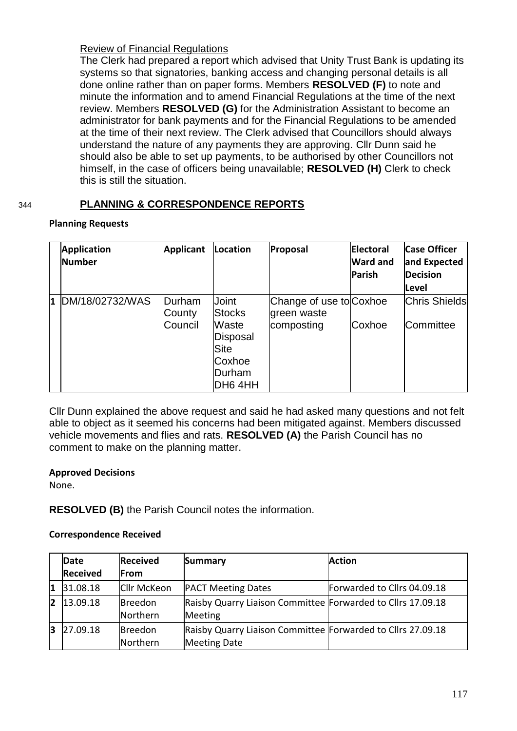### Review of Financial Regulations

The Clerk had prepared a report which advised that Unity Trust Bank is updating its systems so that signatories, banking access and changing personal details is all done online rather than on paper forms. Members **RESOLVED (F)** to note and minute the information and to amend Financial Regulations at the time of the next review. Members **RESOLVED (G)** for the Administration Assistant to become an administrator for bank payments and for the Financial Regulations to be amended at the time of their next review. The Clerk advised that Councillors should always understand the nature of any payments they are approving. Cllr Dunn said he should also be able to set up payments, to be authorised by other Councillors not himself, in the case of officers being unavailable; **RESOLVED (H)** Clerk to check this is still the situation.

# 344 **PLANNING & CORRESPONDENCE REPORTS**

### **Planning Requests**

|              | <b>Application</b><br><b>Number</b> | <b>Applicant</b>            | Location                                                                           | Proposal                                             | <b>Electoral</b><br><b>Ward and</b><br>Parish | <b>Case Officer</b><br>and Expected<br><b>Decision</b><br><b>Level</b> |
|--------------|-------------------------------------|-----------------------------|------------------------------------------------------------------------------------|------------------------------------------------------|-----------------------------------------------|------------------------------------------------------------------------|
| $\mathbf{1}$ | DM/18/02732/WAS                     | Durham<br>County<br>Council | Joint<br><b>Stocks</b><br>Waste<br>Disposal<br>Site<br>Coxhoe<br>Durham<br>DH6 4HH | Change of use to Coxhoe<br>green waste<br>composting | Coxhoe                                        | <b>Chris Shields</b><br><b>Committee</b>                               |

Cllr Dunn explained the above request and said he had asked many questions and not felt able to object as it seemed his concerns had been mitigated against. Members discussed vehicle movements and flies and rats. **RESOLVED (A)** the Parish Council has no comment to make on the planning matter.

### **Approved Decisions**

None.

# **RESOLVED (B)** the Parish Council notes the information.

#### **Correspondence Received**

|    | Date            | <b>Received</b>            | <b>Summary</b>                                                                     | <b>Action</b>               |
|----|-----------------|----------------------------|------------------------------------------------------------------------------------|-----------------------------|
|    | <b>Received</b> | From                       |                                                                                    |                             |
| Ι1 | 31.08.18        | <b>Cllr McKeon</b>         | <b>PACT Meeting Dates</b>                                                          | Forwarded to Cllrs 04.09.18 |
|    | $ 2 $ 13.09.18  | <b>Breedon</b><br>Northern | Raisby Quarry Liaison Committee Forwarded to Cllrs 17.09.18<br>Meeting             |                             |
| 13 | 27.09.18        | <b>Breedon</b><br>Northern | Raisby Quarry Liaison Committee Forwarded to Cllrs 27.09.18<br><b>Meeting Date</b> |                             |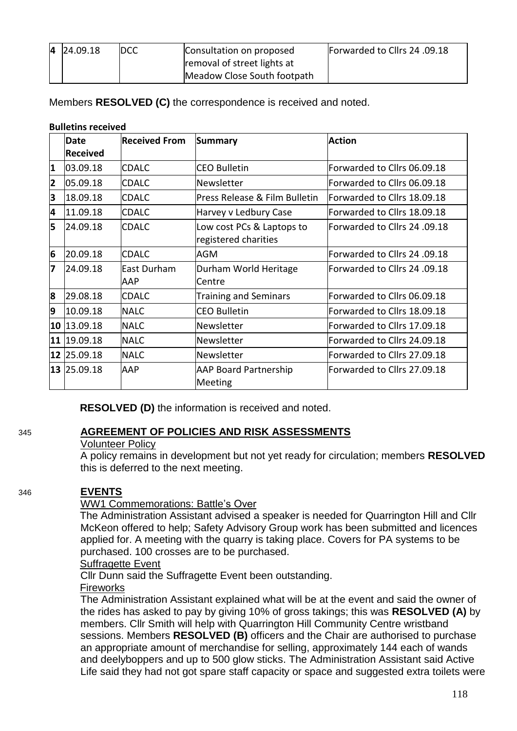| 4 24.09.18 | IDCC. | Consultation on proposed    | Forwarded to Cllrs 24 .09.18 |
|------------|-------|-----------------------------|------------------------------|
|            |       | removal of street lights at |                              |
|            |       | Meadow Close South footpath |                              |

Members **RESOLVED (C)** the correspondence is received and noted.

#### **Bulletins received**

|                         | Date<br><b>Received</b> | <b>Received From</b> | <b>Summary</b>                                    | <b>Action</b>                       |
|-------------------------|-------------------------|----------------------|---------------------------------------------------|-------------------------------------|
| $\overline{\mathbf{1}}$ | 03.09.18                | <b>ICDALC</b>        | ICEO Bulletin                                     | Forwarded to Cllrs 06.09.18         |
| $\overline{\mathbf{2}}$ | 05.09.18                | <b>CDALC</b>         | Newsletter                                        | Forwarded to Cllrs 06.09.18         |
| 3                       | 18.09.18                | <b>CDALC</b>         | Press Release & Film Bulletin                     | Forwarded to Cllrs 18.09.18         |
| 4                       | 11.09.18                | <b>CDALC</b>         | Harvey v Ledbury Case                             | Forwarded to Cllrs 18.09.18         |
| 5                       | 24.09.18                | <b>CDALC</b>         | Low cost PCs & Laptops to<br>registered charities | <b>Forwarded to Cllrs 24 .09.18</b> |
| 6                       | 20.09.18                | <b>CDALC</b>         | AGM                                               | Forwarded to Cllrs 24 .09.18        |
| 7                       | 24.09.18                | East Durham<br>AAP   | Durham World Heritage<br>Centre                   | Forwarded to Cllrs 24 .09.18        |
| 8                       | 29.08.18                | <b>CDALC</b>         | <b>Training and Seminars</b>                      | Forwarded to Cllrs 06.09.18         |
| 9                       | 10.09.18                | <b>NALC</b>          | <b>CEO Bulletin</b>                               | Forwarded to Cllrs 18.09.18         |
| 10                      | 13.09.18                | <b>NALC</b>          | Newsletter                                        | Forwarded to Cllrs 17.09.18         |
| 11                      | 19.09.18                | <b>NALC</b>          | Newsletter                                        | Forwarded to Cllrs 24.09.18         |
|                         | 12 25.09.18             | <b>NALC</b>          | <b>Newsletter</b>                                 | Forwarded to Cllrs 27.09.18         |
|                         | 13 25.09.18             | <b>AAP</b>           | <b>AAP Board Partnership</b><br>Meeting           | Forwarded to Cllrs 27.09.18         |

**RESOLVED (D)** the information is received and noted.

# 345 **AGREEMENT OF POLICIES AND RISK ASSESSMENTS**

### Volunteer Policy

A policy remains in development but not yet ready for circulation; members **RESOLVED**  this is deferred to the next meeting.

# 346 **EVENTS**

# WW1 Commemorations: Battle's Over

The Administration Assistant advised a speaker is needed for Quarrington Hill and Cllr McKeon offered to help; Safety Advisory Group work has been submitted and licences applied for. A meeting with the quarry is taking place. Covers for PA systems to be purchased. 100 crosses are to be purchased.

### Suffragette Event

Cllr Dunn said the Suffragette Event been outstanding.

Fireworks

The Administration Assistant explained what will be at the event and said the owner of the rides has asked to pay by giving 10% of gross takings; this was **RESOLVED (A)** by members. Cllr Smith will help with Quarrington Hill Community Centre wristband sessions. Members **RESOLVED (B)** officers and the Chair are authorised to purchase an appropriate amount of merchandise for selling, approximately 144 each of wands and deelyboppers and up to 500 glow sticks. The Administration Assistant said Active Life said they had not got spare staff capacity or space and suggested extra toilets were